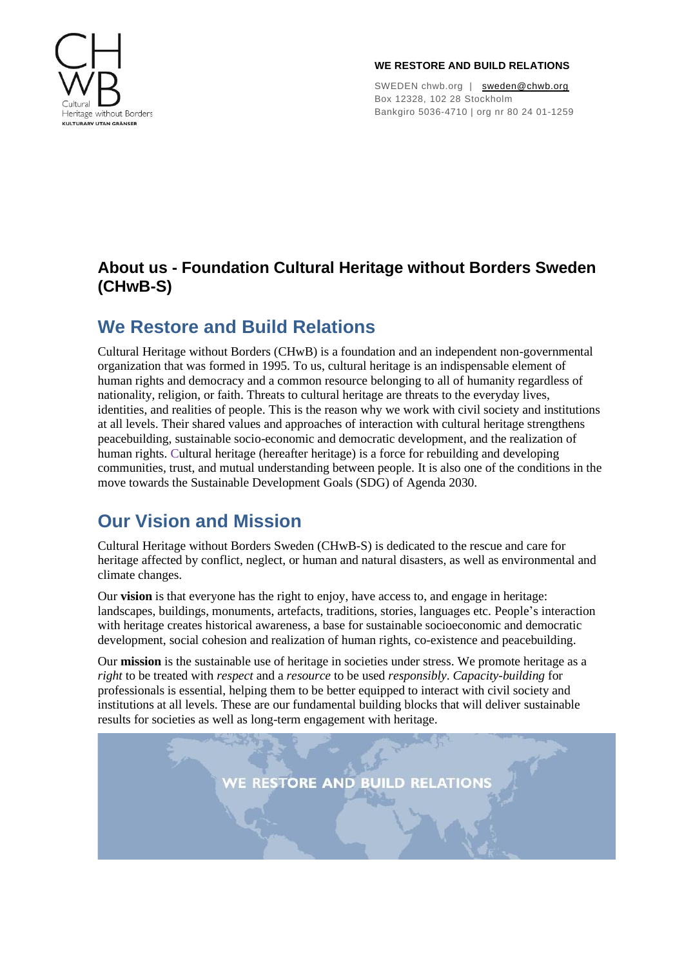

#### **WE RESTORE AND BUILD RELATIONS**

SWEDEN chwb.org | [sweden@chwb.org](mailto:sweden@chwb.org) Box 12328, 102 28 Stockholm Bankgiro 5036-4710 | org nr 80 24 01-1259

### **About us - Foundation Cultural Heritage without Borders Sweden (CHwB-S)**

### **We Restore and Build Relations**

Cultural Heritage without Borders (CHwB) is a foundation and an independent non-governmental organization that was formed in 1995. To us, cultural heritage is an indispensable element of human rights and democracy and a common resource belonging to all of humanity regardless of nationality, religion, or faith. Threats to cultural heritage are threats to the everyday lives, identities, and realities of people. This is the reason why we work with civil society and institutions at all levels. Their shared values and approaches of interaction with cultural heritage strengthens peacebuilding, sustainable socio-economic and democratic development, and the realization of human rights. Cultural heritage (hereafter heritage) is a force for rebuilding and developing communities, trust, and mutual understanding between people. It is also one of the conditions in the move towards the Sustainable Development Goals (SDG) of Agenda 2030.

# **Our Vision and Mission**

Cultural Heritage without Borders Sweden (CHwB-S) is dedicated to the rescue and care for heritage affected by conflict, neglect, or human and natural disasters, as well as environmental and climate changes.

Our **vision** is that everyone has the right to enjoy, have access to, and engage in heritage: landscapes, buildings, monuments, artefacts, traditions, stories, languages etc. People 's interaction with heritage creates historical awareness, a base for sustainable socioeconomic and democratic development, social cohesion and realization of human rights, co-existence and peacebuilding.

Our **mission** is the sustainable use of heritage in societies under stress. We promote heritage as a *right* to be treated with *respect* and a *resource* to be used *responsibly*. *Capacity-building* for professionals is essential, helping them to be better equipped to interact with civil society and institutions at all levels. These are our fundamental building blocks that will deliver sustainable results for societies as well as long-term engagement with heritage.

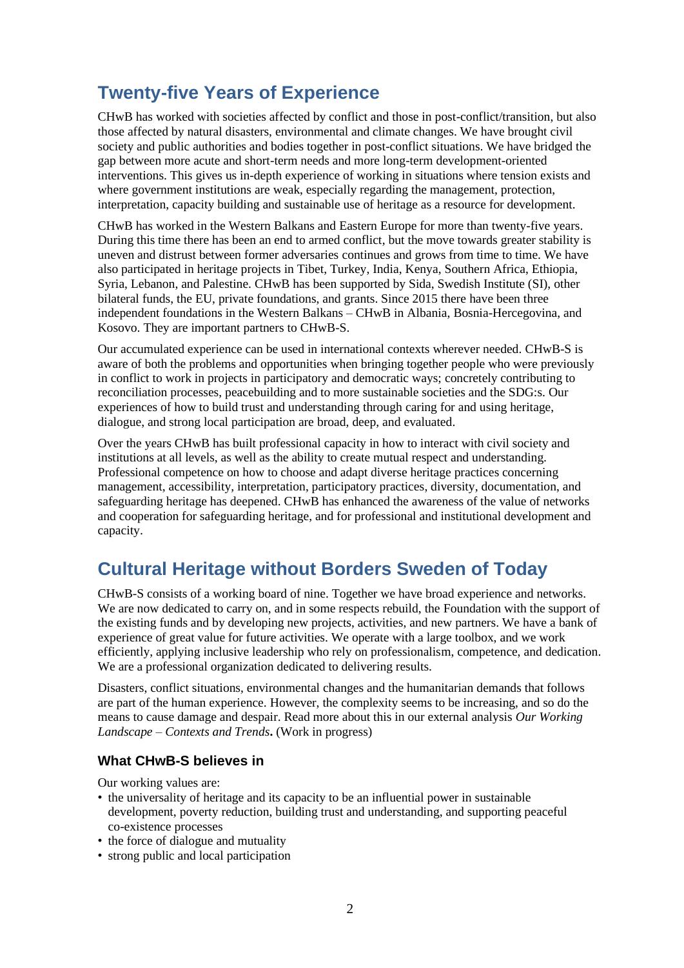## **Twenty-five Years of Experience**

CHwB has worked with societies affected by conflict and those in post-conflict/transition, but also those affected by natural disasters, environmental and climate changes. We have brought civil society and public authorities and bodies together in post-conflict situations. We have bridged the gap between more acute and short-term needs and more long-term development-oriented interventions. This gives us in-depth experience of working in situations where tension exists and where government institutions are weak, especially regarding the management, protection, interpretation, capacity building and sustainable use of heritage as a resource for development.

CHwB has worked in the Western Balkans and Eastern Europe for more than twenty-five years. During this time there has been an end to armed conflict, but the move towards greater stability is uneven and distrust between former adversaries continues and grows from time to time. We have also participated in heritage projects in Tibet, Turkey, India, Kenya, Southern Africa, Ethiopia, Syria, Lebanon, and Palestine. CHwB has been supported by Sida, Swedish Institute (SI), other bilateral funds, the EU, private foundations, and grants. Since 2015 there have been three independent foundations in the Western Balkans – CHwB in Albania, Bosnia-Hercegovina, and Kosovo. They are important partners to CHwB-S.

Our accumulated experience can be used in international contexts wherever needed. CHwB-S is aware of both the problems and opportunities when bringing together people who were previously in conflict to work in projects in participatory and democratic ways; concretely contributing to reconciliation processes, peacebuilding and to more sustainable societies and the SDG:s. Our experiences of how to build trust and understanding through caring for and using heritage, dialogue, and strong local participation are broad, deep, and evaluated.

Over the years CHwB has built professional capacity in how to interact with civil society and institutions at all levels, as well as the ability to create mutual respect and understanding. Professional competence on how to choose and adapt diverse heritage practices concerning management, accessibility, interpretation, participatory practices, diversity, documentation, and safeguarding heritage has deepened. CHwB has enhanced the awareness of the value of networks and cooperation for safeguarding heritage, and for professional and institutional development and capacity.

### **Cultural Heritage without Borders Sweden of Today**

CHwB-S consists of a working board of nine. Together we have broad experience and networks. We are now dedicated to carry on, and in some respects rebuild, the Foundation with the support of the existing funds and by developing new projects, activities, and new partners. We have a bank of experience of great value for future activities. We operate with a large toolbox, and we work efficiently, applying inclusive leadership who rely on professionalism, competence, and dedication. We are a professional organization dedicated to delivering results.

Disasters, conflict situations, environmental changes and the humanitarian demands that follows are part of the human experience. However, the complexity seems to be increasing, and so do the means to cause damage and despair. Read more about this in our external analysis *Our Working Landscape – Contexts and Trends***.** (Work in progress)

#### **What CHwB-S believes in**

Our working values are:

- the universality of heritage and its capacity to be an influential power in sustainable development, poverty reduction, building trust and understanding, and supporting peaceful co-existence processes
- the force of dialogue and mutuality
- strong public and local participation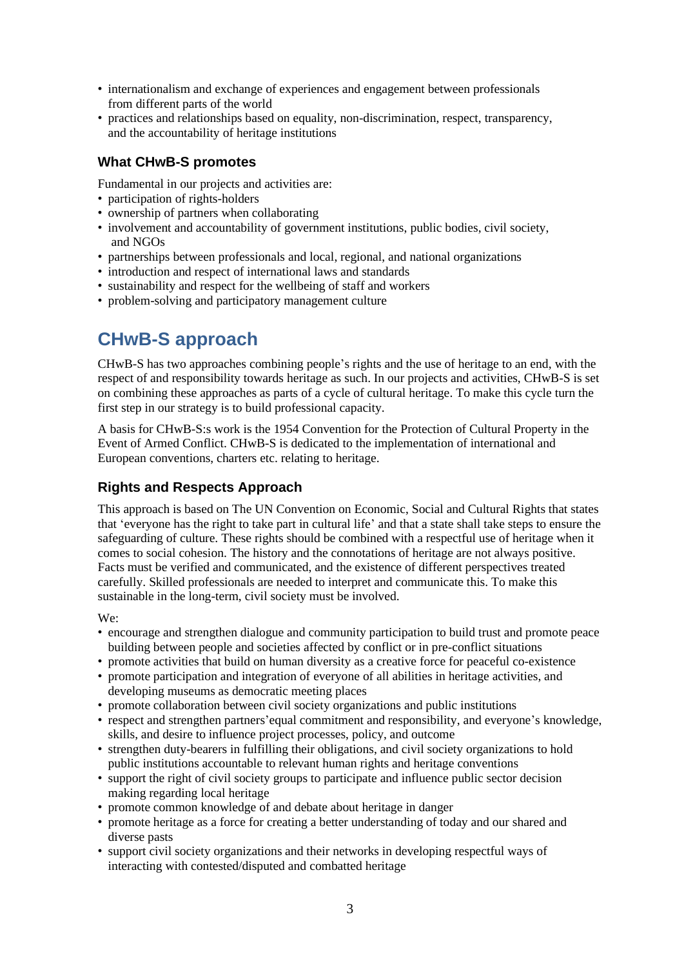- internationalism and exchange of experiences and engagement between professionals from different parts of the world
- practices and relationships based on equality, non-discrimination, respect, transparency, and the accountability of heritage institutions

#### **What CHwB-S promotes**

Fundamental in our projects and activities are:

- participation of rights-holders
- ownership of partners when collaborating
- involvement and accountability of government institutions, public bodies, civil society, and NGOs
- partnerships between professionals and local, regional, and national organizations
- introduction and respect of international laws and standards
- sustainability and respect for the wellbeing of staff and workers
- problem-solving and participatory management culture

# **CHwB-S approach**

CHwB-S has two approaches combining people's rights and the use of heritage to an end, with the respect of and responsibility towards heritage as such. In our projects and activities, CHwB-S is set on combining these approaches as parts of a cycle of cultural heritage. To make this cycle turn the first step in our strategy is to build professional capacity.

A basis for CHwB-S:s work is the 1954 Convention for the Protection of Cultural Property in the Event of Armed Conflict. CHwB-S is dedicated to the implementation of international and European conventions, charters etc. relating to heritage.

### **Rights and Respects Approach**

This approach is based on The UN Convention on Economic, Social and Cultural Rights that states that 'everyone has the right to take part in cultural life' and that a state shall take steps to ensure the safeguarding of culture. These rights should be combined with a respectful use of heritage when it comes to social cohesion. The history and the connotations of heritage are not always positive. Facts must be verified and communicated, and the existence of different perspectives treated carefully. Skilled professionals are needed to interpret and communicate this. To make this sustainable in the long-term, civil society must be involved.

#### We:

- encourage and strengthen dialogue and community participation to build trust and promote peace building between people and societies affected by conflict or in pre-conflict situations
- promote activities that build on human diversity as a creative force for peaceful co-existence
- promote participation and integration of everyone of all abilities in heritage activities, and developing museums as democratic meeting places
- promote collaboration between civil society organizations and public institutions
- respect and strengthen partners'equal commitment and responsibility, and everyone's knowledge, skills, and desire to influence project processes, policy, and outcome
- strengthen duty-bearers in fulfilling their obligations, and civil society organizations to hold public institutions accountable to relevant human rights and heritage conventions
- support the right of civil society groups to participate and influence public sector decision making regarding local heritage
- promote common knowledge of and debate about heritage in danger
- promote heritage as a force for creating a better understanding of today and our shared and diverse pasts
- support civil society organizations and their networks in developing respectful ways of interacting with contested/disputed and combatted heritage